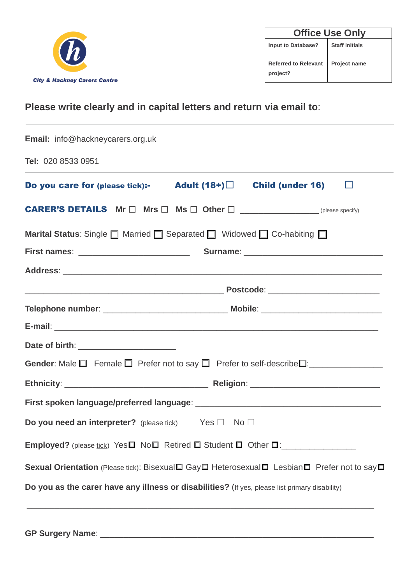

| <b>Office Use Only</b>                  |                       |  |  |
|-----------------------------------------|-----------------------|--|--|
| <b>Input to Database?</b>               | <b>Staff Initials</b> |  |  |
| <b>Referred to Relevant</b><br>project? | <b>Project name</b>   |  |  |

# **Please write clearly and in capital letters and return via email to**:

| <b>Email:</b> info@hackneycarers.org.uk                                                                      |  |   |  |  |
|--------------------------------------------------------------------------------------------------------------|--|---|--|--|
| Tel: 020 8533 0951                                                                                           |  |   |  |  |
| Do you care for (please tick):- Adult $(18+)$ Child (under 16)                                               |  | ப |  |  |
| <b>CARER'S DETAILS</b> $Mr \Box Mr \Box Mrs \Box Other \Box$                                                 |  |   |  |  |
| Marital Status: Single □ Married □ Separated □ Widowed □ Co-habiting □                                       |  |   |  |  |
|                                                                                                              |  |   |  |  |
|                                                                                                              |  |   |  |  |
|                                                                                                              |  |   |  |  |
|                                                                                                              |  |   |  |  |
|                                                                                                              |  |   |  |  |
| Date of birth: _______________________                                                                       |  |   |  |  |
| Gender: Male $\Box$ Female $\Box$ Prefer not to say $\Box$ Prefer to self-describe $\Box$ : ________________ |  |   |  |  |
|                                                                                                              |  |   |  |  |
|                                                                                                              |  |   |  |  |
| <b>Do you need an interpreter?</b> (please tick) Yes $\Box$ No $\Box$                                        |  |   |  |  |
|                                                                                                              |  |   |  |  |
| Sexual Orientation (Please tick): Bisexual□ Gay□ Heterosexual□ Lesbian□ Prefer not to say□                   |  |   |  |  |
| Do you as the carer have any illness or disabilities? (If yes, please list primary disability)               |  |   |  |  |
|                                                                                                              |  |   |  |  |

**GP Surgery Name**: \_\_\_\_\_\_\_\_\_\_\_\_\_\_\_\_\_\_\_\_\_\_\_\_\_\_\_\_\_\_\_\_\_\_\_\_\_\_\_\_\_\_\_\_\_\_\_\_\_\_\_\_\_\_\_\_\_\_\_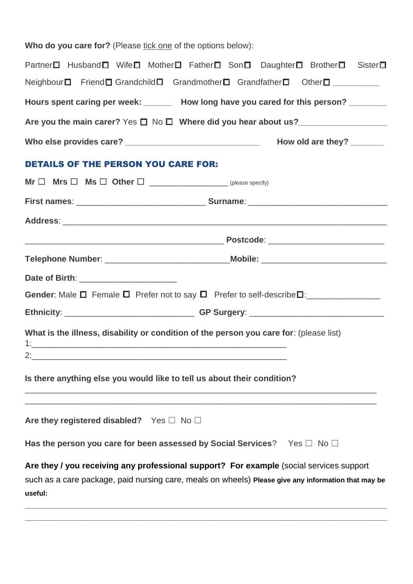| Who do you care for? (Please tick one of the options below):                                                                                                                                              |                           |  |  |  |
|-----------------------------------------------------------------------------------------------------------------------------------------------------------------------------------------------------------|---------------------------|--|--|--|
| Partner□ Husband□ Wife□ Mother□ Father□ Son□ Daughter□ Brother□ Sister□                                                                                                                                   |                           |  |  |  |
| Neighbour□ Friend□ Grandchild□ Grandmother□ Grandfather□ Other□ _________                                                                                                                                 |                           |  |  |  |
| Hours spent caring per week: ______ How long have you cared for this person? ______                                                                                                                       |                           |  |  |  |
|                                                                                                                                                                                                           |                           |  |  |  |
|                                                                                                                                                                                                           | How old are they? _______ |  |  |  |
| <b>DETAILS OF THE PERSON YOU CARE FOR:</b>                                                                                                                                                                |                           |  |  |  |
|                                                                                                                                                                                                           |                           |  |  |  |
|                                                                                                                                                                                                           |                           |  |  |  |
|                                                                                                                                                                                                           |                           |  |  |  |
|                                                                                                                                                                                                           |                           |  |  |  |
| Telephone Number: ________________________________Mobile: ______________________                                                                                                                          |                           |  |  |  |
| Date of Birth: ________________________                                                                                                                                                                   |                           |  |  |  |
|                                                                                                                                                                                                           |                           |  |  |  |
| Ethnicity: ___________________________________GP Surgery: ______________________                                                                                                                          |                           |  |  |  |
| What is the illness, disability or condition of the person you care for: (please list)<br>$1:$ $\overline{\phantom{a}}$                                                                                   |                           |  |  |  |
| Is there anything else you would like to tell us about their condition?                                                                                                                                   |                           |  |  |  |
| Are they registered disabled? Yes $\square$ No $\square$                                                                                                                                                  |                           |  |  |  |
| Has the person you care for been assessed by Social Services? Yes $\square$ No $\square$                                                                                                                  |                           |  |  |  |
| Are they / you receiving any professional support? For example (social services support<br>such as a care package, paid nursing care, meals on wheels) Please give any information that may be<br>useful: |                           |  |  |  |

**\_\_\_\_\_\_\_\_\_\_\_\_\_\_\_\_\_\_\_\_\_\_\_\_\_\_\_\_\_\_\_\_\_\_\_\_\_\_\_\_\_\_\_\_\_\_\_\_\_\_\_\_\_\_\_\_\_\_\_\_\_\_\_\_\_\_\_\_\_\_\_\_\_\_\_\_\_\_\_\_\_\_\_\_\_\_\_\_\_\_\_\_\_\_**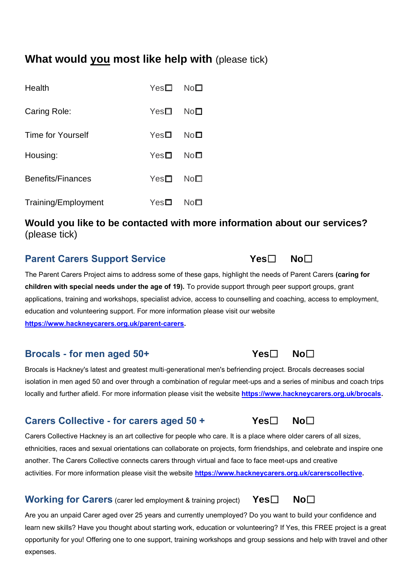# **What would you most like help with** (please tick)

| Health                   | $Yes\square$ | $No\Box$ |
|--------------------------|--------------|----------|
| Caring Role:             | $Yes\square$ | No⊡      |
| <b>Time for Yourself</b> | YesD         | No⊡      |
| Housing:                 | YesD         | No⊡      |
| Benefits/Finances        | $Yes\square$ | $No\Box$ |
| Training/Employment      | YesD         | No⊡      |

## **Would you like to be contacted with more information about our services?** (please tick)

## **Parent Carers Support Service Yes□ No**□

The Parent Carers Project aims to address some of these gaps, highlight the needs of Parent Carers **(caring for children with special needs under the age of 19).** To provide support through peer support groups, grant applications, training and workshops, specialist advice, access to counselling and coaching, access to employment, education and volunteering support. For more information please visit our website **[https://www.hackneycarers.org.uk/parent-carers.](https://www.hackneycarers.org.uk/parent-carers)** 

## **Brocals - for men aged 50+ Yes**☐ **No**☐

Brocals is Hackney's latest and greatest multi-generational men's befriending project. Brocals decreases social isolation in men aged 50 and over through a combination of regular meet-ups and a series of minibus and coach trips locally and further afield. For more information please visit the website **[https://www.hackneycarers.org.uk/brocals.](https://www.hackneycarers.org.uk/brocals)** 

## **Carers Collective - for carers aged 50 + Yes**☐ **No**☐

Carers Collective Hackney is an art collective for people who care. It is a place where older carers of all sizes, ethnicities, races and sexual orientations can collaborate on projects, form friendships, and celebrate and inspire one another. The Carers Collective connects carers through virtual and face to face meet-ups and creative activities. For more information please visit the website **[https://www.hackneycarers.org.uk/carerscollective.](https://www.hackneycarers.org.uk/carerscollective)** 

**Working for Carers** (carer led employment & training project) **Yes**□ No□

Are you an unpaid Carer aged over 25 years and currently unemployed? Do you want to build your confidence and learn new skills? Have you thought about starting work, education or volunteering? If Yes, this FREE project is a great opportunity for you! Offering one to one support, training workshops and group sessions and help with travel and other expenses.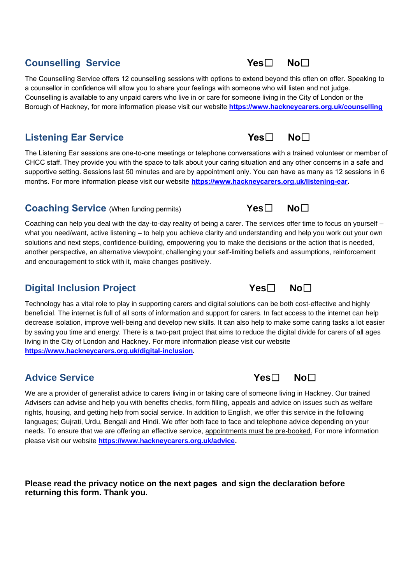# **Counselling Service Yes**☐ **No**☐

The Counselling Service offers 12 counselling sessions with options to extend beyond this often on offer. Speaking to a counsellor in confidence will allow you to share your feelings with someone who will listen and not judge. Counselling is available to any unpaid carers who live in or care for someone living in the City of London or the Borough of Hackney, for more information please visit our website **<https://www.hackneycarers.org.uk/counselling>**

# **Listening Ear Service Yes□ No**□

The Listening Ear sessions are one-to-one meetings or telephone conversations with a trained volunteer or member of CHCC staff. They provide you with the space to talk about your caring situation and any other concerns in a safe and supportive setting. Sessions last 50 minutes and are by appointment only. You can have as many as 12 sessions in 6 months. For more information please visit our website **[https://www.hackneycarers.org.uk/listening-ear.](https://www.hackneycarers.org.uk/listening-ear)** 

## **Coaching Service** (When funding permits) **Yes**☐ **No**☐

Coaching can help you deal with the day-to-day reality of being a carer. The services offer time to focus on yourself – what you need/want, active listening – to help you achieve clarity and understanding and help you work out your own solutions and next steps, confidence-building, empowering you to make the decisions or the action that is needed, another perspective, an alternative viewpoint, challenging your self-limiting beliefs and assumptions, reinforcement and encouragement to stick with it, make changes positively.

# **Digital Inclusion Project Yes**☐ **No**☐

Technology has a vital role to play in supporting carers and digital solutions can be both cost-effective and highly beneficial. The internet is full of all sorts of information and support for carers. In fact access to the internet can help decrease isolation, improve well-being and develop new skills. It can also help to make some caring tasks a lot easier by saving you time and energy. There is a two-part project that aims to reduce the digital divide for carers of all ages living in the City of London and Hackney. For more information please visit our website **[https://www.hackneycarers.org.uk/digital-inclusion.](https://www.hackneycarers.org.uk/digital-inclusion)** 

# **Advice Service Yes**☐ **No**☐

We are a provider of generalist advice to carers living in or taking care of someone living in Hackney. Our trained Advisers can advise and help you with benefits checks, form filling, appeals and advice on issues such as welfare rights, housing, and getting help from social service. In addition to English, we offer this service in the following languages; Gujrati, Urdu, Bengali and Hindi. We offer both face to face and telephone advice depending on your needs. To ensure that we are offering an effective service, appointments must be pre-booked. For more information please visit our website **[https://www.hackneycarers.org.uk/advice.](https://www.hackneycarers.org.uk/advice)** 

**Please read the privacy notice on the next pages and sign the declaration before returning this form. Thank you.**





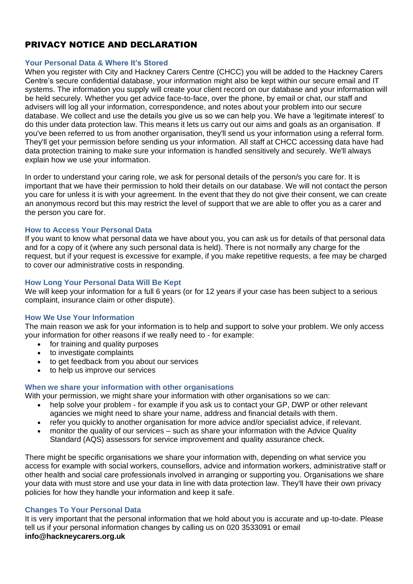## PRIVACY NOTICE AND DECLARATION

### **Your Personal Data & Where It's Stored**

When you register with City and Hackney Carers Centre (CHCC) you will be added to the Hackney Carers Centre's secure confidential database, your information might also be kept within our secure email and IT systems. The information you supply will create your client record on our database and your information will be held securely. Whether you get advice face-to-face, over the phone, by email or chat, our staff and advisers will log all your information, correspondence, and notes about your problem into our secure database. We collect and use the details you give us so we can help you. We have a 'legitimate interest' to do this under data protection law. This means it lets us carry out our aims and goals as an organisation. If you've been referred to us from another organisation, they'll send us your information using a referral form. They'll get your permission before sending us your information. All staff at CHCC accessing data have had data protection training to make sure your information is handled sensitively and securely. We'll always explain how we use your information.

In order to understand your caring role, we ask for personal details of the person/s you care for. It is important that we have their permission to hold their details on our database. We will not contact the person you care for unless it is with your agreement. In the event that they do not give their consent, we can create an anonymous record but this may restrict the level of support that we are able to offer you as a carer and the person you care for.

## **How to Access Your Personal Data**

If you want to know what personal data we have about you, you can ask us for details of that personal data and for a copy of it (where any such personal data is held). There is not normally any charge for the request, but if your request is excessive for example, if you make repetitive requests, a fee may be charged to cover our administrative costs in responding.

## **How Long Your Personal Data Will Be Kept**

We will keep your information for a full 6 years (or for 12 years if your case has been subject to a serious complaint, insurance claim or other dispute).

### **How We Use Your Information**

The main reason we ask for your information is to help and support to solve your problem. We only access your information for other reasons if we really need to - for example:

- for training and quality purposes
- to investigate complaints
- to get feedback from you about our services
- to help us improve our services

### **When we share your information with other organisations**

With your permission, we might share your information with other organisations so we can:

- help solve your problem for example if you ask us to contact your GP, DWP or other relevant agancies we might need to share your name, address and financial details with them.
- refer you quickly to another organisation for more advice and/or specialist advice, if relevant.
- monitor the quality of our services such as share your information with the Advice Quality Standard (AQS) assessors for service improvement and quality assurance check.

There might be specific organisations we share your information with, depending on what service you access for example with social workers, counsellors, advice and information workers, administrative staff or other health and social care professionals involved in arranging or supporting you. Organisations we share your data with must store and use your data in line with data protection law. They'll have their own privacy policies for how they handle your information and keep it safe.

### **Changes To Your Personal Data**

It is very important that the personal information that we hold about you is accurate and up-to-date. Please tell us if your personal information changes by calling us on 020 3533091 or email **info@hackneycarers.org.uk**